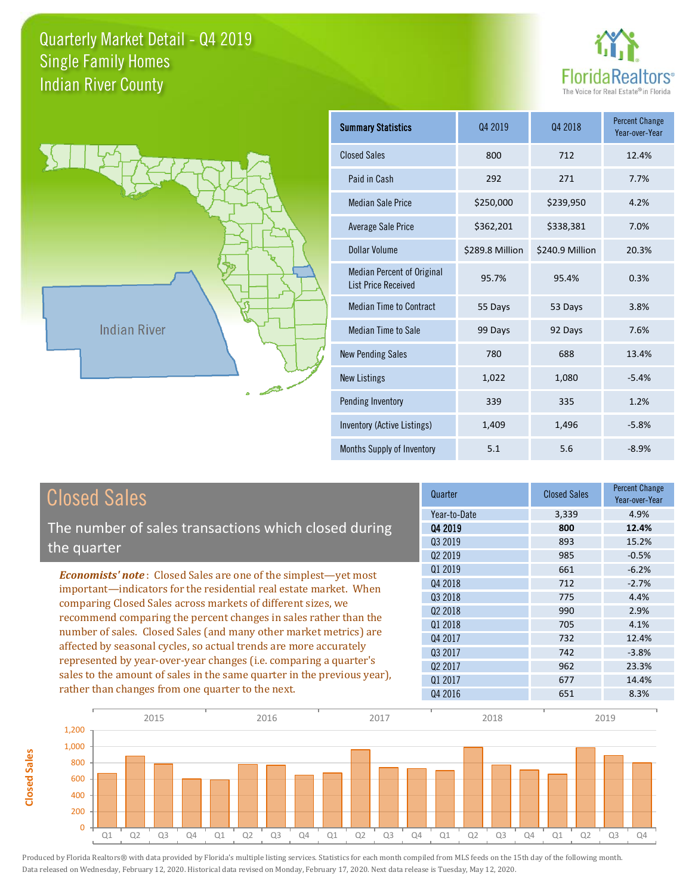



**Closed Sales**

**Closed Sales** 

| <b>Summary Statistics</b>                                       | 04 2019         | 04 2018         | <b>Percent Change</b><br>Year-over-Year |
|-----------------------------------------------------------------|-----------------|-----------------|-----------------------------------------|
| <b>Closed Sales</b>                                             | 800             | 712             | 12.4%                                   |
| Paid in Cash                                                    | 292             | 271             | 7.7%                                    |
| <b>Median Sale Price</b>                                        | \$250,000       | \$239,950       | 4.2%                                    |
| <b>Average Sale Price</b>                                       | \$362,201       | \$338,381       | 7.0%                                    |
| Dollar Volume                                                   | \$289.8 Million | \$240.9 Million | 20.3%                                   |
| <b>Median Percent of Original</b><br><b>List Price Received</b> | 95.7%           | 95.4%           | 0.3%                                    |
| <b>Median Time to Contract</b>                                  | 55 Days         | 53 Days         | 3.8%                                    |
| <b>Median Time to Sale</b>                                      | 99 Days         | 92 Days         | 7.6%                                    |
| <b>New Pending Sales</b>                                        | 780             | 688             | 13.4%                                   |
| <b>New Listings</b>                                             | 1,022           | 1,080           | $-5.4%$                                 |
| Pending Inventory                                               | 339             | 335             | 1.2%                                    |
| Inventory (Active Listings)                                     | 1,409           | 1,496           | $-5.8%$                                 |
| Months Supply of Inventory                                      | 5.1             | 5.6             | $-8.9%$                                 |

| <b>Closed Sales</b>                                                                                                                                        | Quarter             | <b>Closed Sales</b> | <b>Percent Change</b><br>Year-over-Year |
|------------------------------------------------------------------------------------------------------------------------------------------------------------|---------------------|---------------------|-----------------------------------------|
|                                                                                                                                                            | Year-to-Date        | 3,339               | 4.9%                                    |
| The number of sales transactions which closed during                                                                                                       | 04 2019             | 800                 | 12.4%                                   |
|                                                                                                                                                            | Q3 2019             | 893                 | 15.2%                                   |
| the quarter<br><b>Economists' note:</b> Closed Sales are one of the simplest—yet most<br>important—indicators for the residential real estate market. When | Q <sub>2</sub> 2019 | 985                 | $-0.5%$                                 |
|                                                                                                                                                            | 01 2019             | 661                 | $-6.2%$                                 |
|                                                                                                                                                            | Q4 2018             | 712                 | $-2.7%$                                 |
| comparing Closed Sales across markets of different sizes, we                                                                                               | Q3 2018             | 775                 | 4.4%                                    |
|                                                                                                                                                            | Q <sub>2</sub> 2018 | 990                 | 2.9%                                    |
| recommend comparing the percent changes in sales rather than the                                                                                           | 01 2018             | 705                 | 4.1%                                    |
| number of sales. Closed Sales (and many other market metrics) are                                                                                          | Q4 2017             | 732                 | 12.4%                                   |
| affected by seasonal cycles, so actual trends are more accurately                                                                                          | 03 2017             | 742                 | $-3.8%$                                 |
| represented by year-over-year changes (i.e. comparing a quarter's                                                                                          | Q <sub>2</sub> 2017 | 962                 | 23.3%                                   |
| sales to the amount of sales in the same quarter in the previous year),                                                                                    | Q1 2017             | 677                 | 14.4%                                   |
| rather than changes from one quarter to the next.                                                                                                          | Q4 2016             | 651                 | 8.3%                                    |

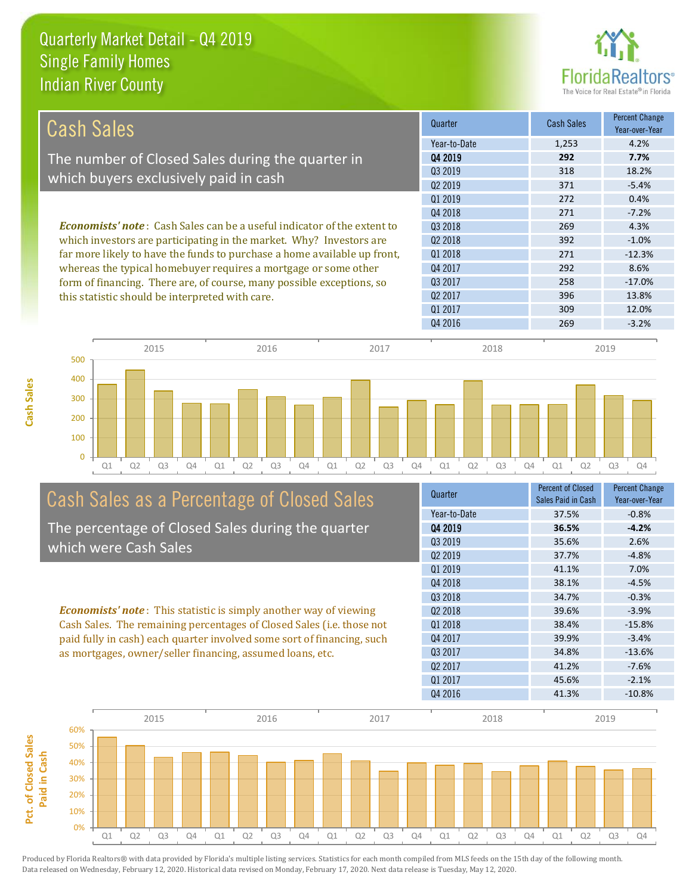

| <b>Cash Sales</b>                                                                                                                                     | Quarter             | <b>Cash Sales</b> | Percent Change<br>Year-over-Year |
|-------------------------------------------------------------------------------------------------------------------------------------------------------|---------------------|-------------------|----------------------------------|
|                                                                                                                                                       | Year-to-Date        | 1,253             | 4.2%                             |
| The number of Closed Sales during the quarter in                                                                                                      | Q4 2019             | 292               | 7.7%                             |
|                                                                                                                                                       | Q3 2019             | 318               | 18.2%                            |
| which buyers exclusively paid in cash                                                                                                                 | Q <sub>2</sub> 2019 | 371               | $-5.4%$                          |
|                                                                                                                                                       | 01 2019             | 272               | 0.4%                             |
|                                                                                                                                                       | Q4 2018             | 271               | $-7.2%$                          |
| <b>Economists' note:</b> Cash Sales can be a useful indicator of the extent to<br>which investors are participating in the market. Why? Investors are | 03 2018             | 269               | 4.3%                             |
|                                                                                                                                                       | Q <sub>2</sub> 2018 | 392               | $-1.0%$                          |
| far more likely to have the funds to purchase a home available up front,                                                                              | 01 2018             | 271               | $-12.3%$                         |
| whereas the typical homebuyer requires a mortgage or some other                                                                                       | Q4 2017             | 292               | 8.6%                             |
| form of financing. There are, of course, many possible exceptions, so                                                                                 | Q3 2017             | 258               | $-17.0%$                         |
| this statistic should be interpreted with care.                                                                                                       | Q <sub>2</sub> 2017 | 396               | 13.8%                            |
|                                                                                                                                                       | 01 2017             | 309               | 12.0%                            |
|                                                                                                                                                       | Q4 2016             | 269               | $-3.2%$                          |



# Cash Sales as a Percentage of Closed Sales

The percentage of Closed Sales during the quarter which were Cash Sales

*Economists' note* : This statistic is simply another way of viewing Cash Sales. The remaining percentages of Closed Sales (i.e. those not paid fully in cash) each quarter involved some sort of financing, such as mortgages, owner/seller financing, assumed loans, etc.

| Quarter             | <b>Percent of Closed</b> | <b>Percent Change</b> |
|---------------------|--------------------------|-----------------------|
|                     | Sales Paid in Cash       | Year-over-Year        |
| Year-to-Date        | 37.5%                    | $-0.8%$               |
| Q4 2019             | 36.5%                    | $-4.2%$               |
| 03 2019             | 35.6%                    | 2.6%                  |
| Q <sub>2</sub> 2019 | 37.7%                    | $-4.8%$               |
| Q1 2019             | 41.1%                    | 7.0%                  |
| Q4 2018             | 38.1%                    | $-4.5%$               |
| Q3 2018             | 34.7%                    | $-0.3%$               |
| Q <sub>2</sub> 2018 | 39.6%                    | $-3.9%$               |
| 01 2018             | 38.4%                    | $-15.8%$              |
| Q4 2017             | 39.9%                    | $-3.4%$               |
| Q3 2017             | 34.8%                    | $-13.6%$              |
| Q <sub>2</sub> 2017 | 41.2%                    | $-7.6%$               |
| Q1 2017             | 45.6%                    | $-2.1%$               |
| Q4 2016             | 41.3%                    | $-10.8%$              |
|                     |                          |                       |

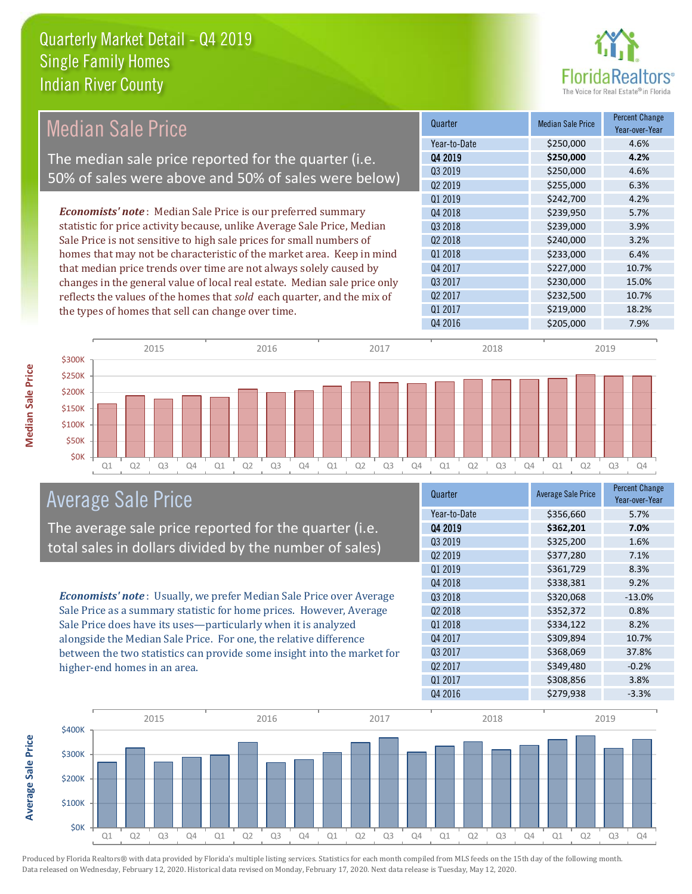

**Percent Change** 

|                                                                       | Median Sale Price                                                         |         |           | Quarter             | <b>Median Sale Price</b> | Year-over-Year |
|-----------------------------------------------------------------------|---------------------------------------------------------------------------|---------|-----------|---------------------|--------------------------|----------------|
|                                                                       |                                                                           |         |           | Year-to-Date        | \$250,000                | 4.6%           |
|                                                                       | The median sale price reported for the quarter (i.e.                      |         |           | 04 2019             | \$250,000                | 4.2%           |
|                                                                       | 50% of sales were above and 50% of sales were below)                      |         |           | Q3 2019             | \$250,000                | 4.6%           |
|                                                                       |                                                                           |         |           | Q <sub>2</sub> 2019 | \$255,000                | 6.3%           |
|                                                                       |                                                                           |         |           | Q1 2019             | \$242,700                | 4.2%           |
|                                                                       | <b>Economists' note:</b> Median Sale Price is our preferred summary       |         |           | Q4 2018             | \$239,950                | 5.7%           |
|                                                                       | statistic for price activity because, unlike Average Sale Price, Median   |         |           | Q3 2018             | \$239,000                | 3.9%           |
|                                                                       | Sale Price is not sensitive to high sale prices for small numbers of      |         |           | Q <sub>2</sub> 2018 | \$240,000                | 3.2%           |
| homes that may not be characteristic of the market area. Keep in mind |                                                                           | Q1 2018 | \$233,000 | 6.4%                |                          |                |
|                                                                       | that median price trends over time are not always solely caused by        |         |           | Q4 2017             | \$227,000                | 10.7%          |
|                                                                       | changes in the general value of local real estate. Median sale price only |         |           | Q3 2017             | \$230,000                | 15.0%          |
|                                                                       | reflects the values of the homes that sold each quarter, and the mix of   |         |           | Q <sub>2</sub> 2017 | \$232,500                | 10.7%          |
|                                                                       | the types of homes that sell can change over time.                        |         |           | Q1 2017             | \$219,000                | 18.2%          |
|                                                                       |                                                                           |         |           | Q4 2016             | \$205,000                | 7.9%           |
| \$300K                                                                | 2015                                                                      | 2016    | 2017      | 2018                |                          | 2019           |
|                                                                       |                                                                           |         |           |                     |                          |                |



### Average Sale Price

The average sale price reported for the quarter (i.e. total sales in dollars divided by the number of sales)

*Economists' note* : Usually, we prefer Median Sale Price over Average Sale Price as a summary statistic for home prices. However, Average Sale Price does have its uses—particularly when it is analyzed alongside the Median Sale Price. For one, the relative difference between the two statistics can provide some insight into the market for higher-end homes in an area.

| <b>Average Sale Price</b> | <b>Percent Change</b><br>Year-over-Year |
|---------------------------|-----------------------------------------|
| \$356,660                 | 5.7%                                    |
| \$362,201                 | 7.0%                                    |
| \$325,200                 | 1.6%                                    |
| \$377,280                 | 7.1%                                    |
| \$361,729                 | 8.3%                                    |
| \$338,381                 | 9.2%                                    |
| \$320,068                 | $-13.0%$                                |
| \$352,372                 | 0.8%                                    |
| \$334,122                 | 8.2%                                    |
| \$309,894                 | 10.7%                                   |
| \$368,069                 | 37.8%                                   |
| \$349,480                 | $-0.2%$                                 |
| \$308,856                 | 3.8%                                    |
| \$279,938                 | $-3.3%$                                 |
|                           |                                         |



**Median Sale Price**

Median Sale Price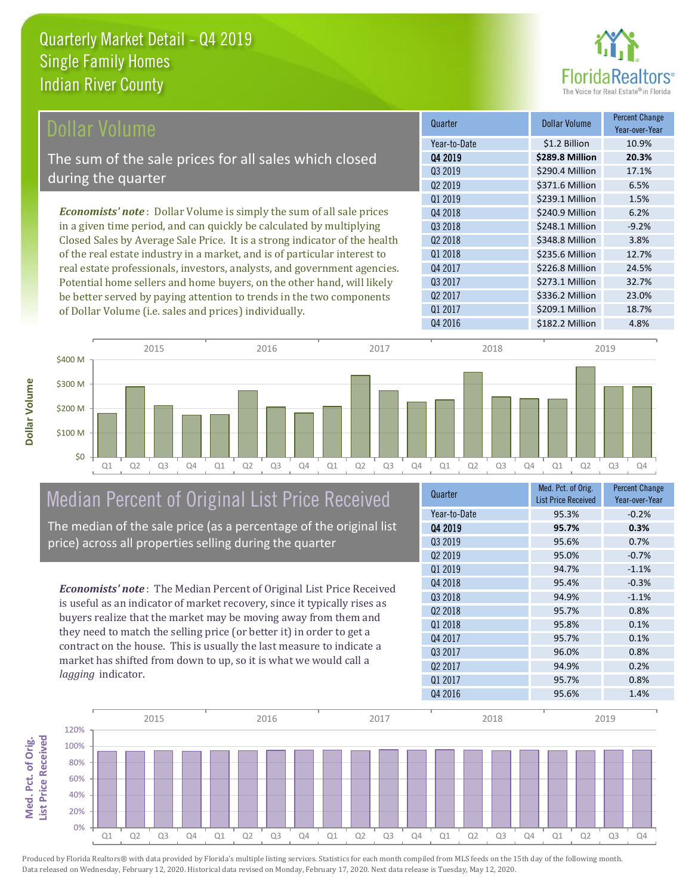

| Dollar Volume                                                                | Quarter             | <b>Dollar Volume</b> | <b>Percent Change</b><br>Year-over-Year |
|------------------------------------------------------------------------------|---------------------|----------------------|-----------------------------------------|
|                                                                              | Year-to-Date        | \$1.2 Billion        | 10.9%                                   |
| The sum of the sale prices for all sales which closed                        | Q4 2019             | \$289.8 Million      | 20.3%                                   |
|                                                                              | Q3 2019             | \$290.4 Million      | 17.1%                                   |
| during the quarter                                                           | Q <sub>2</sub> 2019 | \$371.6 Million      | 6.5%                                    |
|                                                                              | Q1 2019             | \$239.1 Million      | 1.5%                                    |
| <b>Economists' note</b> : Dollar Volume is simply the sum of all sale prices | Q4 2018             | \$240.9 Million      | 6.2%                                    |
| in a given time period, and can quickly be calculated by multiplying         | Q3 2018             | \$248.1 Million      | $-9.2%$                                 |
| Closed Sales by Average Sale Price. It is a strong indicator of the health   | Q <sub>2</sub> 2018 | \$348.8 Million      | 3.8%                                    |
| of the real estate industry in a market, and is of particular interest to    | 01 2018             | \$235.6 Million      | 12.7%                                   |
| real estate professionals, investors, analysts, and government agencies.     | Q4 2017             | \$226.8 Million      | 24.5%                                   |
| Potential home sellers and home buyers, on the other hand, will likely       | Q3 2017             | \$273.1 Million      | 32.7%                                   |
| be better served by paying attention to trends in the two components         | Q <sub>2</sub> 2017 | \$336.2 Million      | 23.0%                                   |

of Dollar Volume (i.e. sales and prices) individually.





## Median Percent of Original List Price Received

The median of the sale price (as a percentage of the original list price) across all properties selling during the quarter

*Economists' note* : The Median Percent of Original List Price Received is useful as an indicator of market recovery, since it typically rises as buyers realize that the market may be moving away from them and they need to match the selling price (or better it) in order to get a contract on the house. This is usually the last measure to indicate a market has shifted from down to up, so it is what we would call a *lagging* indicator.

| Quarter             | Med. Pct. of Orig.<br><b>List Price Received</b> | <b>Percent Change</b><br>Year-over-Year |
|---------------------|--------------------------------------------------|-----------------------------------------|
| Year-to-Date        | 95.3%                                            | $-0.2%$                                 |
| 04 2019             | 95.7%                                            | 0.3%                                    |
| 03 2019             | 95.6%                                            | 0.7%                                    |
| Q <sub>2</sub> 2019 | 95.0%                                            | $-0.7%$                                 |
| Q1 2019             | 94.7%                                            | $-1.1%$                                 |
| Q4 2018             | 95.4%                                            | $-0.3%$                                 |
| Q3 2018             | 94.9%                                            | $-1.1%$                                 |
| Q <sub>2</sub> 2018 | 95.7%                                            | 0.8%                                    |
| Q1 2018             | 95.8%                                            | 0.1%                                    |
| Q4 2017             | 95.7%                                            | 0.1%                                    |
| Q3 2017             | 96.0%                                            | 0.8%                                    |
| Q <sub>2</sub> 2017 | 94.9%                                            | 0.2%                                    |
| Q1 2017             | 95.7%                                            | 0.8%                                    |
| Q4 2016             | 95.6%                                            | 1.4%                                    |

Q4 2016 **\$182.2 Million** 4.8%

Q1 2017 **\$209.1 Million** 18.7%

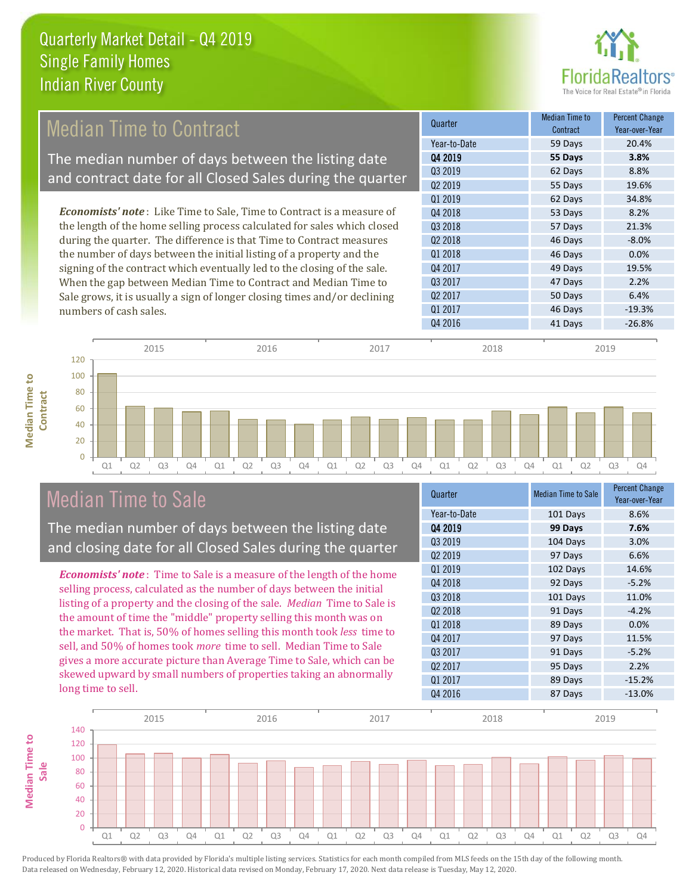

#### 55 Days 19.6% Q1 2019 **62 Days** 34.8% Q4 2017 **49 Days** 19.5% **Quarter Median Time to All According to All According Median Time to All According to All According to All According to All According to All According to All According to All According to All According to All According to Contract** Percent Change Year-over-Year Q4 2019 **55 Days 3.8%** Year-to-Date 59 Days 20.4% Q3 2019 62 Days 8.8% Q2 2019 Q2 2018 46 Days -8.0% Q1 2018 **46 Days 0.0%** Q4 2018 **53 Days** 8.2% Q3 2018 57 Days 21.3% 47 Days 2.2% Q2 2017 **50 Days** 6.4% Q3 2017 Q1 2017 **46 Days** 46 Days 46 Days 46 Days 46 Days 49.3% Q4 2016 **41 Days** -26.8% *Economists' note* : Like Time to Sale, Time to Contract is a measure of the length of the home selling process calculated for sales which closed during the quarter. The difference is that Time to Contract measures the number of days between the initial listing of a property and the signing of the contract which eventually led to the closing of the sale. When the gap between Median Time to Contract and Median Time to Sale grows, it is usually a sign of longer closing times and/or declining numbers of cash sales. Median Time to Contract The median number of days between the listing date and contract date for all Closed Sales during the quarter

**Median Time to Median Time to Contract**



### Median Time to Sale

The median number of days between the listing date and closing date for all Closed Sales during the quarter

*Economists' note* : Time to Sale is a measure of the length of the home selling process, calculated as the number of days between the initial listing of a property and the closing of the sale. *Median* Time to Sale is the amount of time the "middle" property selling this month was on the market. That is, 50% of homes selling this month took *less* time to sell, and 50% of homes took *more* time to sell. Median Time to Sale gives a more accurate picture than Average Time to Sale, which can be skewed upward by small numbers of properties taking an abnormally long time to sell.

| Quarter             | <b>Median Time to Sale</b> | <b>Percent Change</b><br>Year-over-Year |
|---------------------|----------------------------|-----------------------------------------|
| Year-to-Date        | 101 Days                   | 8.6%                                    |
| Q4 2019             | 99 Days                    | 7.6%                                    |
| 03 2019             | 104 Days                   | 3.0%                                    |
| Q <sub>2</sub> 2019 | 97 Days                    | 6.6%                                    |
| Q1 2019             | 102 Days                   | 14.6%                                   |
| Q4 2018             | 92 Days                    | $-5.2%$                                 |
| Q3 2018             | 101 Days                   | 11.0%                                   |
| 02 2018             | 91 Days                    | $-4.2%$                                 |
| 01 2018             | 89 Days                    | 0.0%                                    |
| Q4 2017             | 97 Days                    | 11.5%                                   |
| 03 2017             | 91 Days                    | $-5.2%$                                 |
| Q <sub>2</sub> 2017 | 95 Days                    | 2.2%                                    |
| Q1 2017             | 89 Days                    | $-15.2%$                                |
| Q4 2016             | 87 Days                    | $-13.0%$                                |

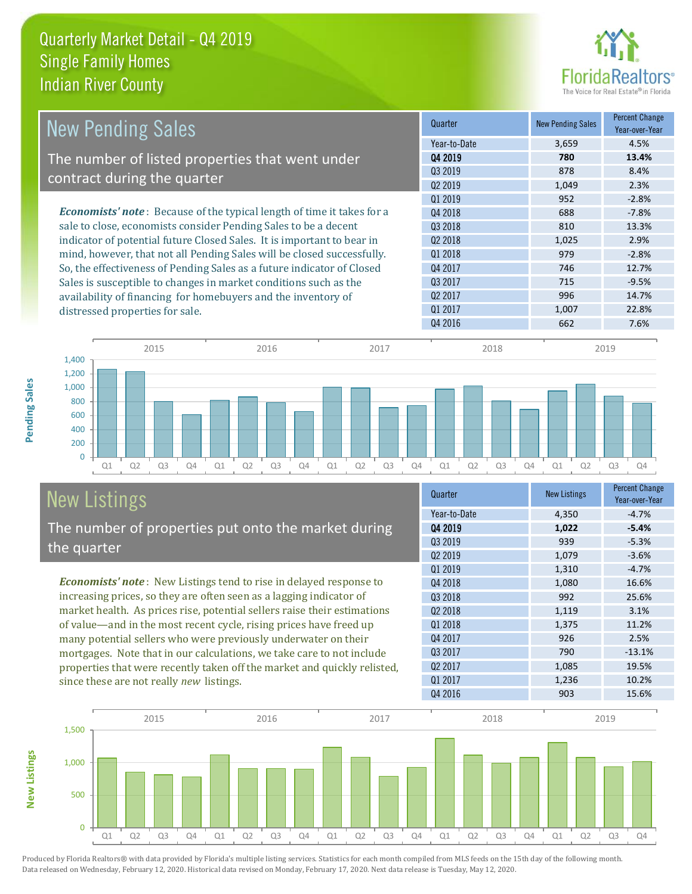

| <b>New Pending Sales</b>                                                                                                                                                                                                   | Quarter             | <b>New Pending Sales</b> | <b>Percent Change</b><br>Year-over-Year |
|----------------------------------------------------------------------------------------------------------------------------------------------------------------------------------------------------------------------------|---------------------|--------------------------|-----------------------------------------|
|                                                                                                                                                                                                                            | Year-to-Date        | 3,659                    | 4.5%                                    |
| The number of listed properties that went under                                                                                                                                                                            | Q4 2019             | 780                      | 13.4%                                   |
| contract during the quarter                                                                                                                                                                                                | 03 2019             | 878                      | 8.4%                                    |
|                                                                                                                                                                                                                            | Q <sub>2</sub> 2019 | 1,049                    | 2.3%                                    |
|                                                                                                                                                                                                                            | Q1 2019             | 952                      | $-2.8%$                                 |
| <b>Economists' note:</b> Because of the typical length of time it takes for a<br>sale to close, economists consider Pending Sales to be a decent<br>indicator of potential future Closed Sales. It is important to bear in | Q4 2018             | 688                      | $-7.8%$                                 |
|                                                                                                                                                                                                                            | 03 2018             | 810                      | 13.3%                                   |
|                                                                                                                                                                                                                            | 02 2018             | 1,025                    | 2.9%                                    |
| mind, however, that not all Pending Sales will be closed successfully.                                                                                                                                                     | Q1 2018             | 979                      | $-2.8%$                                 |
| So, the effectiveness of Pending Sales as a future indicator of Closed                                                                                                                                                     | Q4 2017             | 746                      | 12.7%                                   |
| Sales is susceptible to changes in market conditions such as the                                                                                                                                                           | Q3 2017             | 715                      | $-9.5%$                                 |
| availability of financing for homebuyers and the inventory of                                                                                                                                                              | Q <sub>2</sub> 2017 | 996                      | 14.7%                                   |
| distressed properties for sale.                                                                                                                                                                                            | 01 2017             | 1,007                    | 22.8%                                   |
|                                                                                                                                                                                                                            | Q4 2016             | 662                      | 7.6%                                    |

**New Listings**



#### New Listings The number of properties put onto the market during the quarter

*Economists' note* : New Listings tend to rise in delayed response to increasing prices, so they are often seen as a lagging indicator of market health. As prices rise, potential sellers raise their estimations of value—and in the most recent cycle, rising prices have freed up many potential sellers who were previously underwater on their mortgages. Note that in our calculations, we take care to not include properties that were recently taken off the market and quickly relisted, since these are not really *new* listings.

| Quarter             | <b>New Listings</b> | <b>Percent Change</b><br>Year-over-Year |
|---------------------|---------------------|-----------------------------------------|
| Year-to-Date        | 4,350               | $-4.7%$                                 |
| Q4 2019             | 1,022               | $-5.4%$                                 |
| 03 2019             | 939                 | $-5.3%$                                 |
| Q <sub>2</sub> 2019 | 1,079               | $-3.6%$                                 |
| Q1 2019             | 1,310               | $-4.7%$                                 |
| Q4 2018             | 1,080               | 16.6%                                   |
| Q3 2018             | 992                 | 25.6%                                   |
| Q <sub>2</sub> 2018 | 1,119               | 3.1%                                    |
| Q1 2018             | 1,375               | 11.2%                                   |
| Q4 2017             | 926                 | 2.5%                                    |
| Q3 2017             | 790                 | $-13.1%$                                |
| Q <sub>2</sub> 2017 | 1,085               | 19.5%                                   |
| Q1 2017             | 1,236               | 10.2%                                   |
| Q4 2016             | 903                 | 15.6%                                   |

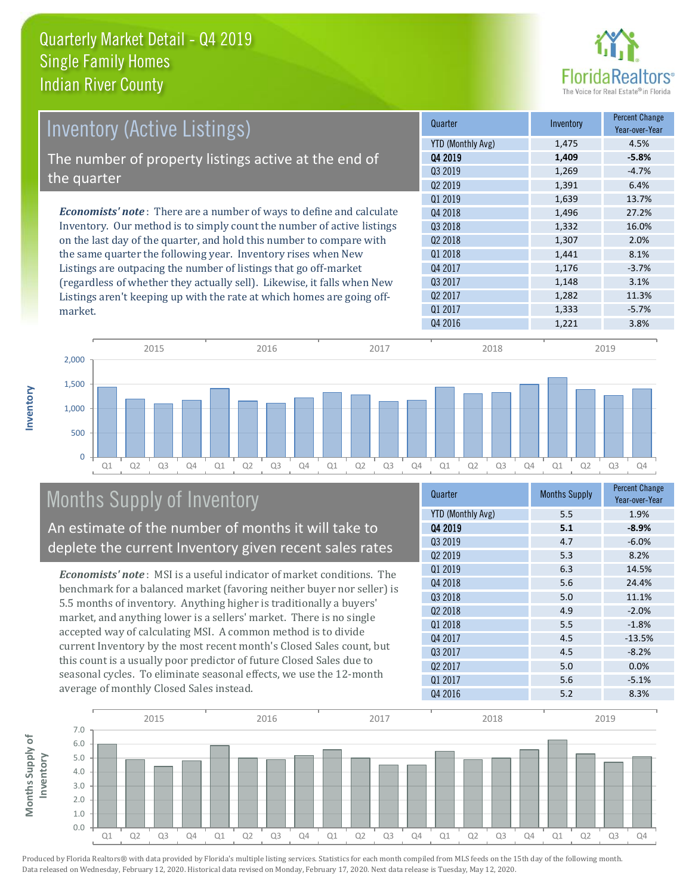

| <b>Inventory (Active Listings)</b>                                           | Quarter             | Inventory | <b>Percent Change</b><br>Year-over-Year |
|------------------------------------------------------------------------------|---------------------|-----------|-----------------------------------------|
|                                                                              | YTD (Monthly Avg)   | 1,475     | 4.5%                                    |
| The number of property listings active at the end of                         | Q4 2019             | 1,409     | $-5.8%$                                 |
|                                                                              | 03 2019             | 1,269     | $-4.7%$                                 |
| the quarter                                                                  | Q <sub>2</sub> 2019 | 1,391     | 6.4%                                    |
|                                                                              | 01 2019             | 1,639     | 13.7%                                   |
| <b>Economists' note</b> : There are a number of ways to define and calculate | Q4 2018             | 1,496     | 27.2%                                   |
| Inventory. Our method is to simply count the number of active listings       | 03 2018             | 1,332     | 16.0%                                   |
| on the last day of the quarter, and hold this number to compare with         | Q <sub>2</sub> 2018 | 1,307     | 2.0%                                    |
| the same quarter the following year. Inventory rises when New                | Q1 2018             | 1,441     | 8.1%                                    |
| Listings are outpacing the number of listings that go off-market             | Q4 2017             | 1,176     | $-3.7%$                                 |
| (regardless of whether they actually sell). Likewise, it falls when New      | Q3 2017             | 1,148     | 3.1%                                    |
| Listings aren't keeping up with the rate at which homes are going off-       | Q <sub>2</sub> 2017 | 1,282     | 11.3%                                   |
| market.                                                                      | Q1 2017             | 1.333     | $-5.7%$                                 |



## Months Supply of Inventory

An estimate of the number of months it will take to deplete the current Inventory given recent sales rates

*Economists' note* : MSI is a useful indicator of market conditions. The benchmark for a balanced market (favoring neither buyer nor seller) is 5.5 months of inventory. Anything higher is traditionally a buyers' market, and anything lower is a sellers' market. There is no single accepted way of calculating MSI. A common method is to divide current Inventory by the most recent month's Closed Sales count, but this count is a usually poor predictor of future Closed Sales due to seasonal cycles. To eliminate seasonal effects, we use the 12-month average of monthly Closed Sales instead.

| Quarter                  | <b>Months Supply</b> | <b>Percent Change</b><br>Year-over-Year |
|--------------------------|----------------------|-----------------------------------------|
| <b>YTD (Monthly Avg)</b> | 5.5                  | 1.9%                                    |
| 04 2019                  | 5.1                  | $-8.9%$                                 |
| Q3 2019                  | 4.7                  | $-6.0%$                                 |
| 02 2019                  | 5.3                  | 8.2%                                    |
| Q1 2019                  | 6.3                  | 14.5%                                   |
| Q4 2018                  | 5.6                  | 24.4%                                   |
| Q3 2018                  | 5.0                  | 11.1%                                   |
| Q <sub>2</sub> 2018      | 4.9                  | $-2.0%$                                 |
| Q1 2018                  | 5.5                  | $-1.8%$                                 |
| Q4 2017                  | 4.5                  | $-13.5%$                                |
| Q3 2017                  | 4.5                  | $-8.2%$                                 |
| Q <sub>2</sub> 2017      | 5.0                  | 0.0%                                    |
| Q1 2017                  | 5.6                  | $-5.1%$                                 |
| Q4 2016                  | 5.2                  | 8.3%                                    |

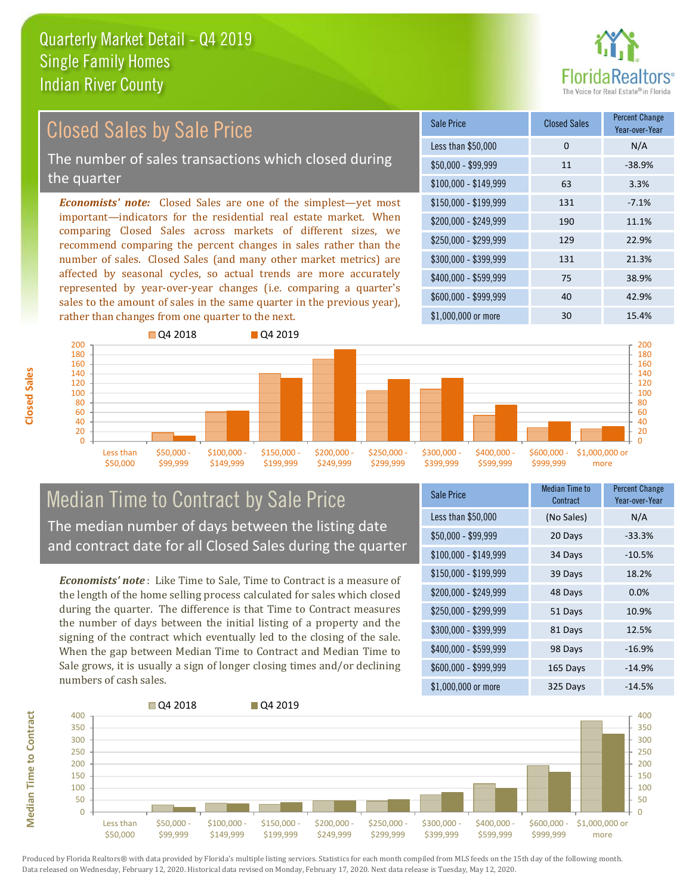

#### *Economists' note:* Closed Sales are one of the simplest—yet most important—indicators for the residential real estate market. When comparing Closed Sales across markets of different sizes, we recommend comparing the percent changes in sales rather than the number of sales. Closed Sales (and many other market metrics) are affected by seasonal cycles, so actual trends are more accurately represented by year-over-year changes (i.e. comparing a quarter's sales to the amount of sales in the same quarter in the previous year), \$250,000 - \$299,999 129 22.9% \$300,000 - \$399,999 131 21.3% \$400,000 - \$599,999 75 38.9% \$600,000 - \$999,999 40 42.9% \$150,000 - \$199,999 131 -7.1% \$200,000 - \$249,999 190 11.1%  $$100,000 - $149,999$  63 3.3% Sale Price Closed Sales Percent Change Year-over-Year Less than \$50,000 0 0 N/A  $$50.000 - $99.999$  11  $-38.9\%$ Closed Sales by Sale Price The number of sales transactions which closed during the quarter



#### Median Time to Contract by Sale Price The median number of days between the listing date and contract date for all Closed Sales during the quarter

*Economists' note* : Like Time to Sale, Time to Contract is a measure of the length of the home selling process calculated for sales which closed during the quarter. The difference is that Time to Contract measures the number of days between the initial listing of a property and the signing of the contract which eventually led to the closing of the sale. When the gap between Median Time to Contract and Median Time to Sale grows, it is usually a sign of longer closing times and/or declining numbers of cash sales.

| Sale Price            | <b>Median Time to</b><br>Contract | <b>Percent Change</b><br>Year-over-Year |
|-----------------------|-----------------------------------|-----------------------------------------|
| Less than \$50,000    | (No Sales)                        | N/A                                     |
| $$50,000 - $99,999$   | 20 Days                           | $-33.3%$                                |
| $$100,000 - $149,999$ | 34 Days                           | $-10.5%$                                |
| $$150,000 - $199,999$ | 39 Days                           | 18.2%                                   |
| \$200,000 - \$249,999 | 48 Days                           | $0.0\%$                                 |
| \$250,000 - \$299,999 | 51 Days                           | 10.9%                                   |
| \$300,000 - \$399,999 | 81 Days                           | 12.5%                                   |
| \$400,000 - \$599,999 | 98 Days                           | $-16.9%$                                |
| \$600,000 - \$999,999 | 165 Days                          | $-14.9%$                                |
| \$1,000,000 or more   | 325 Days                          | $-14.5%$                                |



**Closed Sales**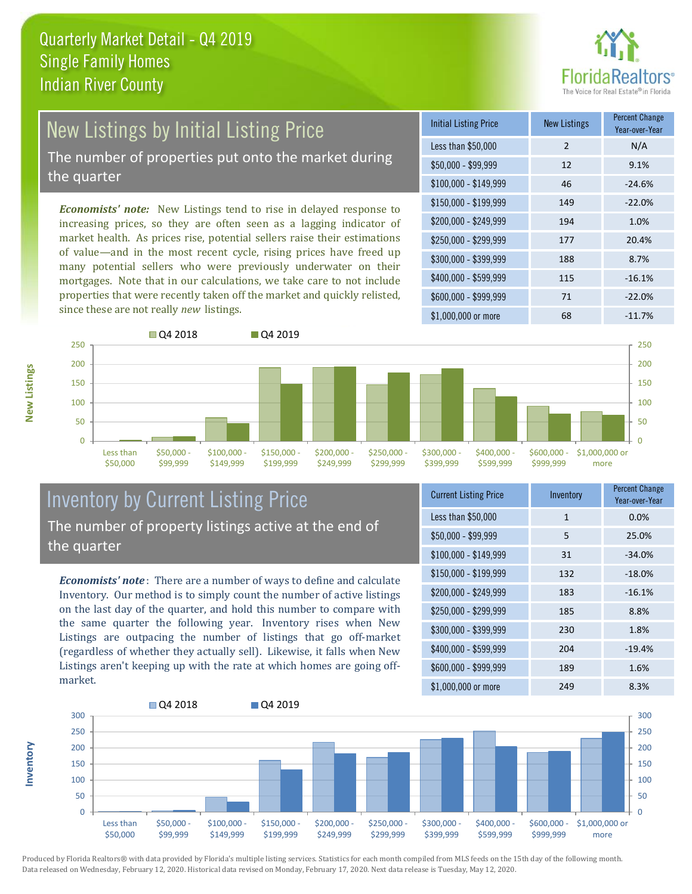

# New Listings by Initial Listing Price

The number of properties put onto the market during the quarter

*Economists' note:* New Listings tend to rise in delayed response to increasing prices, so they are often seen as a lagging indicator of market health. As prices rise, potential sellers raise their estimations of value—and in the most recent cycle, rising prices have freed up many potential sellers who were previously underwater on their mortgages. Note that in our calculations, we take care to not include properties that were recently taken off the market and quickly relisted, since these are not really *new* listings.

| <b>Initial Listing Price</b> | <b>New Listings</b> | <b>Percent Change</b><br>Year-over-Year |
|------------------------------|---------------------|-----------------------------------------|
| Less than \$50,000           | $\mathcal{P}$       | N/A                                     |
| $$50,000 - $99,999$          | 12                  | 9.1%                                    |
| $$100,000 - $149,999$        | 46                  | $-24.6%$                                |
| $$150,000 - $199,999$        | 149                 | $-22.0%$                                |
| \$200,000 - \$249,999        | 194                 | 1.0%                                    |
| \$250,000 - \$299,999        | 177                 | 20.4%                                   |
| \$300,000 - \$399,999        | 188                 | 8.7%                                    |
| \$400,000 - \$599,999        | 115                 | $-16.1%$                                |
| \$600,000 - \$999,999        | 71                  | $-22.0%$                                |
| \$1,000,000 or more          | 68                  | $-11.7%$                                |



#### Inventory by Current Listing Price The number of property listings active at the end of the quarter

*Economists' note* : There are a number of ways to define and calculate Inventory. Our method is to simply count the number of active listings on the last day of the quarter, and hold this number to compare with the same quarter the following year. Inventory rises when New Listings are outpacing the number of listings that go off-market (regardless of whether they actually sell). Likewise, it falls when New Listings aren't keeping up with the rate at which homes are going offmarket.

| <b>Current Listing Price</b> | Inventory    | <b>Percent Change</b><br>Year-over-Year |
|------------------------------|--------------|-----------------------------------------|
| Less than \$50,000           | $\mathbf{1}$ | 0.0%                                    |
| $$50,000 - $99,999$          | 5            | 25.0%                                   |
| $$100,000 - $149,999$        | 31           | $-34.0%$                                |
| \$150,000 - \$199,999        | 132          | $-18.0%$                                |
| \$200,000 - \$249,999        | 183          | $-16.1%$                                |
| \$250,000 - \$299,999        | 185          | 8.8%                                    |
| \$300,000 - \$399,999        | 230          | 1.8%                                    |
| \$400,000 - \$599,999        | 204          | $-19.4%$                                |
| \$600,000 - \$999,999        | 189          | 1.6%                                    |
| \$1,000,000 or more          | 249          | 8.3%                                    |



**New Listings**

**Inventory**